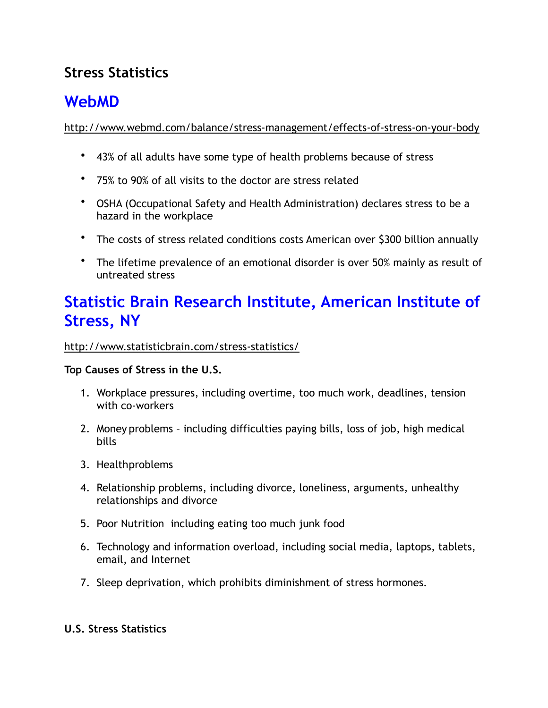### **Stress Statistics**

# **WebMD**

<http://www.webmd.com/balance/stress-management/effects-of-stress-on-your-body>

- 43% of all adults have some type of health problems because of stress
- 75% to 90% of all visits to the doctor are stress related
- OSHA (Occupational Safety and Health Administration) declares stress to be a hazard in the workplace
- The costs of stress related conditions costs American over \$300 billion annually
- The lifetime prevalence of an emotional disorder is over 50% mainly as result of untreated stress

## **Statistic Brain Research Institute, American Institute of Stress, NY**

<http://www.statisticbrain.com/stress-statistics/>

### **Top Causes of Stress in the U.S.**

- 1. Workplace pressures, including overtime, too much work, deadlines, tension with co-workers
- 2. Money problems including difficulties paying bills, loss of job, high medical bills
- 3. Health problems
- 4. Relationship problems, including divorce, loneliness, arguments, unhealthy relationships and divorce
- 5. Poor Nutrition including eating too much junk food
- 6. Technology and information overload, including social media, laptops, tablets, email, and Internet
- 7. Sleep deprivation, which prohibits diminishment of stress hormones.

### **U.S. Stress Statistics**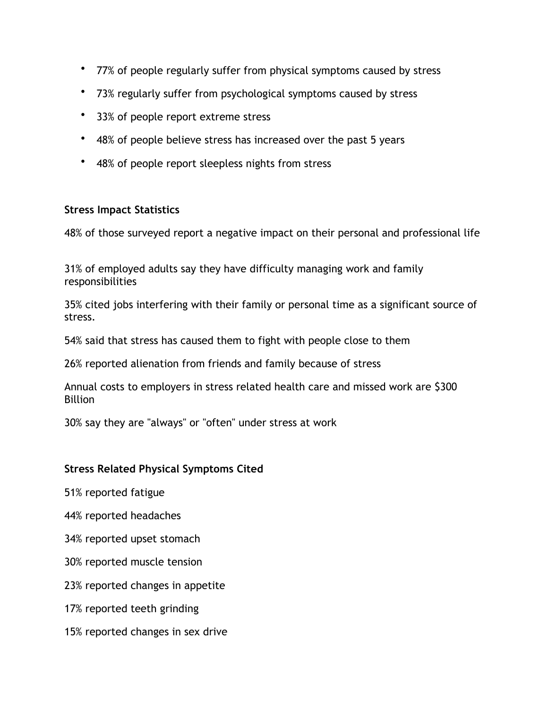- 77% of people regularly suffer from physical symptoms caused by stress
- 73% regularly suffer from psychological symptoms caused by stress
- 33% of people report extreme stress
- 48% of people believe stress has increased over the past 5 years
- 48% of people report sleepless nights from stress

#### **Stress Impact Statistics**

48% of those surveyed report a negative impact on their personal and professional life

31% of employed adults say they have difficulty managing work and family responsibilities

35% cited jobs interfering with their family or personal time as a significant source of stress.

54% said that stress has caused them to fight with people close to them

26% reported alienation from friends and family because of stress

Annual costs to employers in stress related health care and missed work are \$300 **Billion** 

30% say they are "always" or "often" under stress at work

#### **Stress Related Physical Symptoms Cited**

51% reported fatigue

44% reported headaches

34% reported upset stomach

30% reported muscle tension

23% reported changes in appetite

17% reported teeth grinding

15% reported changes in sex drive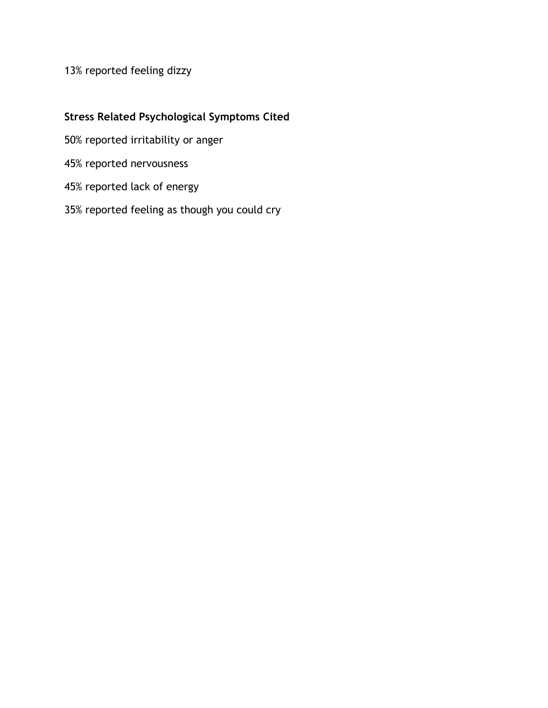### 13% reported feeling dizzy

#### **Stress Related Psychological Symptoms Cited**

50% reported irritability or anger

45% reported nervousness

45% reported lack of energy

35% reported feeling as though you could cry